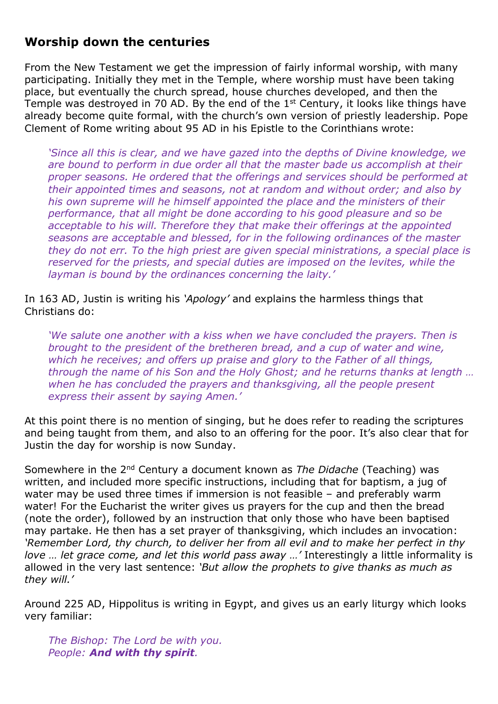## **Worship down the centuries**

From the New Testament we get the impression of fairly informal worship, with many participating. Initially they met in the Temple, where worship must have been taking place, but eventually the church spread, house churches developed, and then the Temple was destroyed in 70 AD. By the end of the  $1<sup>st</sup>$  Century, it looks like things have already become quite formal, with the church's own version of priestly leadership. Pope Clement of Rome writing about 95 AD in his Epistle to the Corinthians wrote:

*'Since all this is clear, and we have gazed into the depths of Divine knowledge, we are bound to perform in due order all that the master bade us accomplish at their proper seasons. He ordered that the offerings and services should be performed at their appointed times and seasons, not at random and without order; and also by his own supreme will he himself appointed the place and the ministers of their performance, that all might be done according to his good pleasure and so be acceptable to his will. Therefore they that make their offerings at the appointed seasons are acceptable and blessed, for in the following ordinances of the master they do not err. To the high priest are given special ministrations, a special place is*  reserved for the priests, and special duties are imposed on the levites, while the *layman is bound by the ordinances concerning the laity.'*

## In 163 AD, Justin is writing his *'Apology'* and explains the harmless things that Christians do:

*'We salute one another with a kiss when we have concluded the prayers. Then is brought to the president of the bretheren bread, and a cup of water and wine, which he receives; and offers up praise and glory to the Father of all things, through the name of his Son and the Holy Ghost; and he returns thanks at length … when he has concluded the prayers and thanksgiving, all the people present express their assent by saying Amen.'*

At this point there is no mention of singing, but he does refer to reading the scriptures and being taught from them, and also to an offering for the poor. It's also clear that for Justin the day for worship is now Sunday.

Somewhere in the 2nd Century a document known as *The Didache* (Teaching) was written, and included more specific instructions, including that for baptism, a jug of water may be used three times if immersion is not feasible – and preferably warm water! For the Eucharist the writer gives us prayers for the cup and then the bread (note the order), followed by an instruction that only those who have been baptised may partake. He then has a set prayer of thanksgiving, which includes an invocation: *'Remember Lord, thy church, to deliver her from all evil and to make her perfect in thy love … let grace come, and let this world pass away …'* Interestingly a little informality is allowed in the very last sentence: *'But allow the prophets to give thanks as much as they will.'*

Around 225 AD, Hippolitus is writing in Egypt, and gives us an early liturgy which looks very familiar:

*The Bishop: The Lord be with you. People: And with thy spirit.*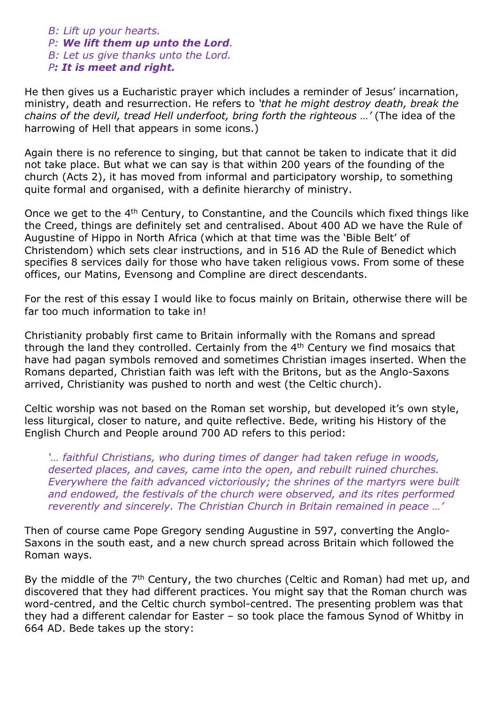*B: Lift up your hearts. P: We lift them up unto the Lord. B: Let us give thanks unto the Lord. P: It is meet and right.*

He then gives us a Eucharistic prayer which includes a reminder of Jesus' incarnation, ministry, death and resurrection. He refers to *'that he might destroy death, break the chains of the devil, tread Hell underfoot, bring forth the righteous …'* (The idea of the harrowing of Hell that appears in some icons.)

Again there is no reference to singing, but that cannot be taken to indicate that it did not take place. But what we can say is that within 200 years of the founding of the church (Acts 2), it has moved from informal and participatory worship, to something quite formal and organised, with a definite hierarchy of ministry.

Once we get to the 4<sup>th</sup> Century, to Constantine, and the Councils which fixed things like the Creed, things are definitely set and centralised. About 400 AD we have the Rule of Augustine of Hippo in North Africa (which at that time was the 'Bible Belt' of Christendom) which sets clear instructions, and in 516 AD the Rule of Benedict which specifies 8 services daily for those who have taken religious vows. From some of these offices, our Matins, Evensong and Compline are direct descendants.

For the rest of this essay I would like to focus mainly on Britain, otherwise there will be far too much information to take in!

Christianity probably first came to Britain informally with the Romans and spread through the land they controlled. Certainly from the  $4<sup>th</sup>$  Century we find mosaics that have had pagan symbols removed and sometimes Christian images inserted. When the Romans departed, Christian faith was left with the Britons, but as the Anglo-Saxons arrived, Christianity was pushed to north and west (the Celtic church).

Celtic worship was not based on the Roman set worship, but developed it's own style, less liturgical, closer to nature, and quite reflective. Bede, writing his History of the English Church and People around 700 AD refers to this period:

*'… faithful Christians, who during times of danger had taken refuge in woods, deserted places, and caves, came into the open, and rebuilt ruined churches. Everywhere the faith advanced victoriously; the shrines of the martyrs were built and endowed, the festivals of the church were observed, and its rites performed reverently and sincerely. The Christian Church in Britain remained in peace …'*

Then of course came Pope Gregory sending Augustine in 597, converting the Anglo-Saxons in the south east, and a new church spread across Britain which followed the Roman ways.

By the middle of the 7<sup>th</sup> Century, the two churches (Celtic and Roman) had met up, and discovered that they had different practices. You might say that the Roman church was word-centred, and the Celtic church symbol-centred. The presenting problem was that they had a different calendar for Easter – so took place the famous Synod of Whitby in 664 AD. Bede takes up the story: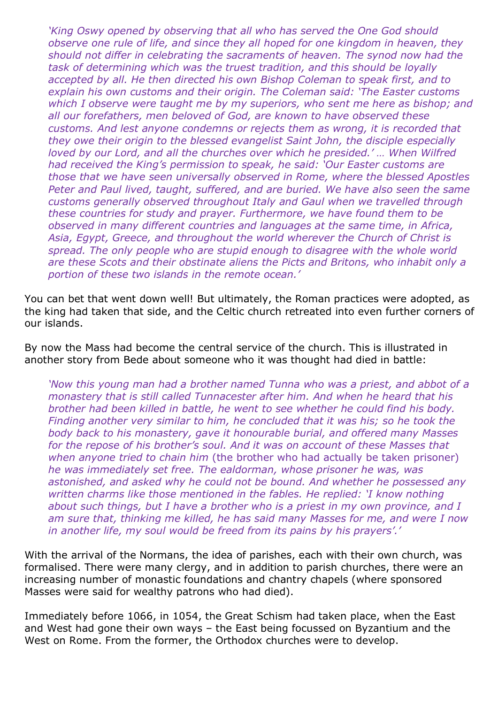*'King Oswy opened by observing that all who has served the One God should observe one rule of life, and since they all hoped for one kingdom in heaven, they should not differ in celebrating the sacraments of heaven. The synod now had the task of determining which was the truest tradition, and this should be loyally accepted by all. He then directed his own Bishop Coleman to speak first, and to explain his own customs and their origin. The Coleman said: 'The Easter customs which I observe were taught me by my superiors, who sent me here as bishop; and all our forefathers, men beloved of God, are known to have observed these customs. And lest anyone condemns or rejects them as wrong, it is recorded that they owe their origin to the blessed evangelist Saint John, the disciple especially loved by our Lord, and all the churches over which he presided.' ... When Wilfred had received the King's permission to speak, he said: 'Our Easter customs are those that we have seen universally observed in Rome, where the blessed Apostles*  Peter and Paul lived, taught, suffered, and are buried. We have also seen the same *customs generally observed throughout Italy and Gaul when we travelled through these countries for study and prayer. Furthermore, we have found them to be observed in many different countries and languages at the same time, in Africa, Asia, Egypt, Greece, and throughout the world wherever the Church of Christ is*  spread. The only people who are stupid enough to disagree with the whole world *are these Scots and their obstinate aliens the Picts and Britons, who inhabit only a portion of these two islands in the remote ocean.'*

You can bet that went down well! But ultimately, the Roman practices were adopted, as the king had taken that side, and the Celtic church retreated into even further corners of our islands.

By now the Mass had become the central service of the church. This is illustrated in another story from Bede about someone who it was thought had died in battle:

*'Now this young man had a brother named Tunna who was a priest, and abbot of a monastery that is still called Tunnacester after him. And when he heard that his brother had been killed in battle, he went to see whether he could find his body. Finding another very similar to him, he concluded that it was his; so he took the body back to his monastery, gave it honourable burial, and offered many Masses*  for the repose of his brother's soul. And it was on account of these Masses that *when anyone tried to chain him* (the brother who had actually be taken prisoner) *he was immediately set free. The ealdorman, whose prisoner he was, was astonished, and asked why he could not be bound. And whether he possessed any written charms like those mentioned in the fables. He replied: 'I know nothing about such things, but I have a brother who is a priest in my own province, and I am sure that, thinking me killed, he has said many Masses for me, and were I now in another life, my soul would be freed from its pains by his prayers'.'*

With the arrival of the Normans, the idea of parishes, each with their own church, was formalised. There were many clergy, and in addition to parish churches, there were an increasing number of monastic foundations and chantry chapels (where sponsored Masses were said for wealthy patrons who had died).

Immediately before 1066, in 1054, the Great Schism had taken place, when the East and West had gone their own ways – the East being focussed on Byzantium and the West on Rome. From the former, the Orthodox churches were to develop.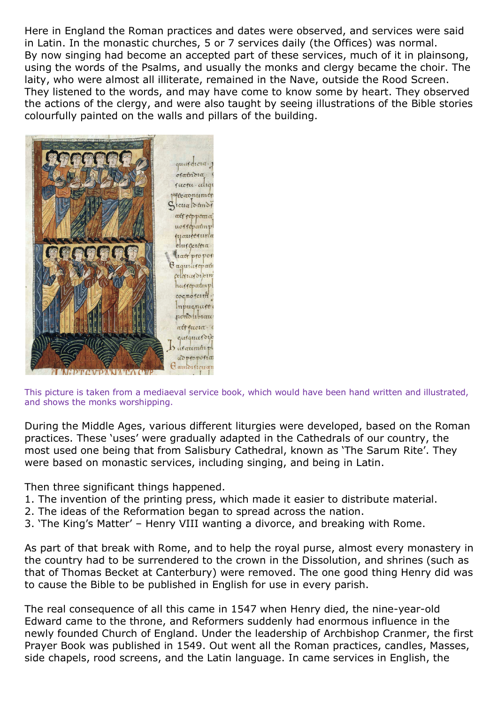Here in England the Roman practices and dates were observed, and services were said in Latin. In the monastic churches, 5 or 7 services daily (the Offices) was normal. By now singing had become an accepted part of these services, much of it in plainsong, using the words of the Psalms, and usually the monks and clergy became the choir. The laity, who were almost all illiterate, remained in the Nave, outside the Rood Screen. They listened to the words, and may have come to know some by heart. They observed the actions of the clergy, and were also taught by seeing illustrations of the Bible stories colourfully painted on the walls and pillars of the building.



This picture is taken from a mediaeval service book, which would have been hand written and illustrated, and shows the monks worshipping.

During the Middle Ages, various different liturgies were developed, based on the Roman practices. These 'uses' were gradually adapted in the Cathedrals of our country, the most used one being that from Salisbury Cathedral, known as 'The Sarum Rite'. They were based on monastic services, including singing, and being in Latin.

Then three significant things happened.

- 1. The invention of the printing press, which made it easier to distribute material.
- 2. The ideas of the Reformation began to spread across the nation.
- 3. 'The King's Matter' Henry VIII wanting a divorce, and breaking with Rome.

As part of that break with Rome, and to help the royal purse, almost every monastery in the country had to be surrendered to the crown in the Dissolution, and shrines (such as that of Thomas Becket at Canterbury) were removed. The one good thing Henry did was to cause the Bible to be published in English for use in every parish.

The real consequence of all this came in 1547 when Henry died, the nine-year-old Edward came to the throne, and Reformers suddenly had enormous influence in the newly founded Church of England. Under the leadership of Archbishop Cranmer, the first Prayer Book was published in 1549. Out went all the Roman practices, candles, Masses, side chapels, rood screens, and the Latin language. In came services in English, the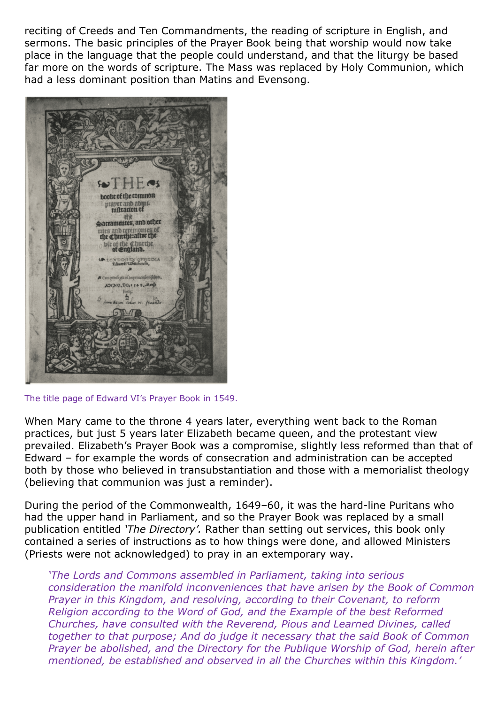reciting of Creeds and Ten Commandments, the reading of scripture in English, and sermons. The basic principles of the Prayer Book being that worship would now take place in the language that the people could understand, and that the liturgy be based far more on the words of scripture. The Mass was replaced by Holy Communion, which had a less dominant position than Matins and Evensong.



The title page of Edward VI's Prayer Book in 1549.

When Mary came to the throne 4 years later, everything went back to the Roman practices, but just 5 years later Elizabeth became queen, and the protestant view prevailed. Elizabeth's Prayer Book was a compromise, slightly less reformed than that of Edward – for example the words of consecration and administration can be accepted both by those who believed in transubstantiation and those with a memorialist theology (believing that communion was just a reminder).

During the period of the Commonwealth, 1649–60, it was the hard-line Puritans who had the upper hand in Parliament, and so the Prayer Book was replaced by a small publication entitled *'The Directory'.* Rather than setting out services, this book only contained a series of instructions as to how things were done, and allowed Ministers (Priests were not acknowledged) to pray in an extemporary way.

*'The Lords and Commons assembled in Parliament, taking into serious consideration the manifold inconveniences that have arisen by the Book of Common Prayer in this Kingdom, and resolving, according to their Covenant, to reform Religion according to the Word of God, and the Example of the best Reformed Churches, have consulted with the Reverend, Pious and Learned Divines, called together to that purpose; And do judge it necessary that the said Book of Common Prayer be abolished, and the Directory for the Publique Worship of God, herein after mentioned, be established and observed in all the Churches within this Kingdom.'*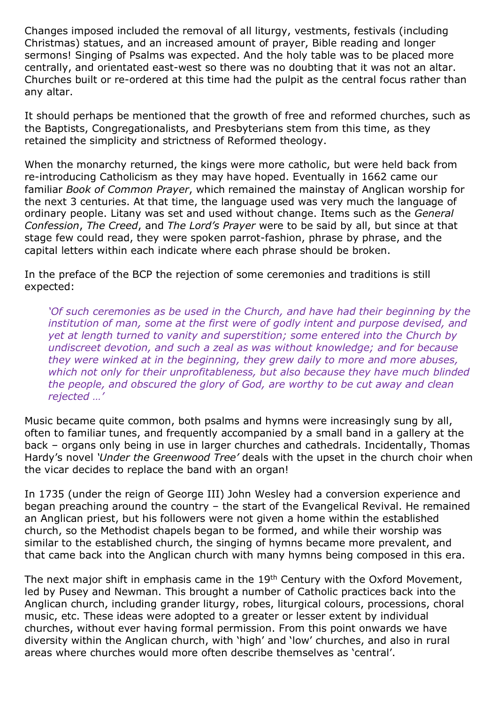Changes imposed included the removal of all liturgy, vestments, festivals (including Christmas) statues, and an increased amount of prayer, Bible reading and longer sermons! Singing of Psalms was expected. And the holy table was to be placed more centrally, and orientated east-west so there was no doubting that it was not an altar. Churches built or re-ordered at this time had the pulpit as the central focus rather than any altar.

It should perhaps be mentioned that the growth of free and reformed churches, such as the Baptists, Congregationalists, and Presbyterians stem from this time, as they retained the simplicity and strictness of Reformed theology.

When the monarchy returned, the kings were more catholic, but were held back from re-introducing Catholicism as they may have hoped. Eventually in 1662 came our familiar *Book of Common Prayer*, which remained the mainstay of Anglican worship for the next 3 centuries. At that time, the language used was very much the language of ordinary people. Litany was set and used without change. Items such as the *General Confession*, *The Creed*, and *The Lord's Prayer* were to be said by all, but since at that stage few could read, they were spoken parrot-fashion, phrase by phrase, and the capital letters within each indicate where each phrase should be broken.

In the preface of the BCP the rejection of some ceremonies and traditions is still expected:

*'Of such ceremonies as be used in the Church, and have had their beginning by the institution of man, some at the first were of godly intent and purpose devised, and yet at length turned to vanity and superstition; some entered into the Church by undiscreet devotion, and such a zeal as was without knowledge; and for because they were winked at in the beginning, they grew daily to more and more abuses, which not only for their unprofitableness, but also because they have much blinded the people, and obscured the glory of God, are worthy to be cut away and clean rejected …'*

Music became quite common, both psalms and hymns were increasingly sung by all, often to familiar tunes, and frequently accompanied by a small band in a gallery at the back – organs only being in use in larger churches and cathedrals. Incidentally, Thomas Hardy's novel *'Under the Greenwood Tree'* deals with the upset in the church choir when the vicar decides to replace the band with an organ!

In 1735 (under the reign of George III) John Wesley had a conversion experience and began preaching around the country – the start of the Evangelical Revival. He remained an Anglican priest, but his followers were not given a home within the established church, so the Methodist chapels began to be formed, and while their worship was similar to the established church, the singing of hymns became more prevalent, and that came back into the Anglican church with many hymns being composed in this era.

The next major shift in emphasis came in the 19<sup>th</sup> Century with the Oxford Movement, led by Pusey and Newman. This brought a number of Catholic practices back into the Anglican church, including grander liturgy, robes, liturgical colours, processions, choral music, etc. These ideas were adopted to a greater or lesser extent by individual churches, without ever having formal permission. From this point onwards we have diversity within the Anglican church, with 'high' and 'low' churches, and also in rural areas where churches would more often describe themselves as 'central'.